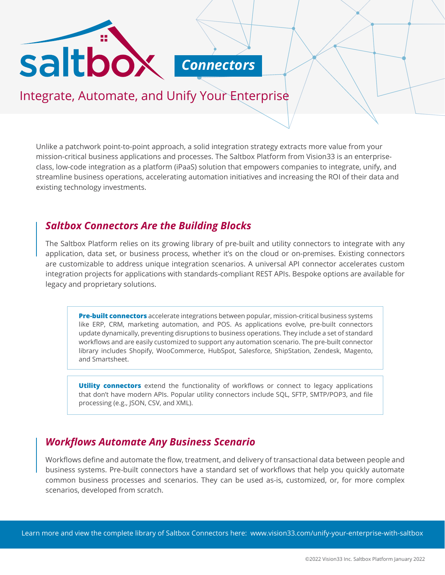



Integrate, Automate, and Unify Your Enterprise

Unlike a patchwork point-to-point approach, a solid integration strategy extracts more value from your mission-critical business applications and processes. The Saltbox Platform from Vision33 is an enterpriseclass, low-code integration as a platform (iPaaS) solution that empowers companies to integrate, unify, and streamline business operations, accelerating automation initiatives and increasing the ROI of their data and existing technology investments.

### *Saltbox Connectors Are the Building Blocks*

The Saltbox Platform relies on its growing library of pre-built and utility connectors to integrate with any application, data set, or business process, whether it's on the cloud or on-premises. Existing connectors are customizable to address unique integration scenarios. A universal API connector accelerates custom integration projects for applications with standards-compliant REST APIs. Bespoke options are available for legacy and proprietary solutions.

**Pre-built connectors** accelerate integrations between popular, mission-critical business systems like ERP, CRM, marketing automation, and POS. As applications evolve, pre-built connectors update dynamically, preventing disruptions to business operations. They include a set of standard workflows and are easily customized to support any automation scenario. The pre-built connector library includes Shopify, WooCommerce, HubSpot, Salesforce, ShipStation, Zendesk, Magento, and Smartsheet.

**Utility connectors** extend the functionality of workflows or connect to legacy applications that don't have modern APIs. Popular utility connectors include SQL, SFTP, SMTP/POP3, and file processing (e.g., JSON, CSV, and XML).

## *Workflows Automate Any Business Scenario*

Workflows define and automate the flow, treatment, and delivery of transactional data between people and business systems. Pre-built connectors have a standard set of workflows that help you quickly automate common business processes and scenarios. They can be used as-is, customized, or, for more complex scenarios, developed from scratch.

Learn more and view the complete library of Saltbox Connectors here: <www.vision33.com/unify-your-enterprise-with-saltbox>